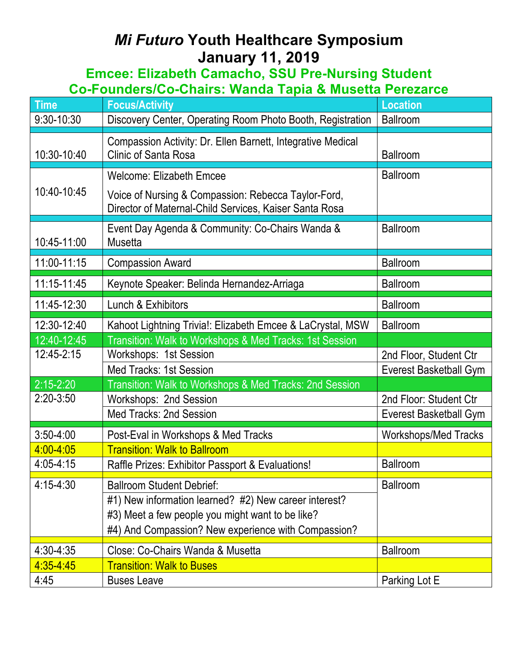## *Mi Futuro* **Youth Healthcare Symposium January 11, 2019**

## **Emcee: Elizabeth Camacho, SSU Pre-Nursing Student**

## **Co-Founders/Co-Chairs: Wanda Tapia & Musetta Perezarce**

| <b>Time</b>    | <b>Focus/Activity</b>                                                                                                                                                                                | <b>Location</b>             |
|----------------|------------------------------------------------------------------------------------------------------------------------------------------------------------------------------------------------------|-----------------------------|
| $9:30 - 10:30$ | Discovery Center, Operating Room Photo Booth, Registration                                                                                                                                           | <b>Ballroom</b>             |
| 10:30-10:40    | Compassion Activity: Dr. Ellen Barnett, Integrative Medical<br><b>Clinic of Santa Rosa</b>                                                                                                           | <b>Ballroom</b>             |
|                | <b>Welcome: Elizabeth Emcee</b>                                                                                                                                                                      | <b>Ballroom</b>             |
| 10:40-10:45    | Voice of Nursing & Compassion: Rebecca Taylor-Ford,<br>Director of Maternal-Child Services, Kaiser Santa Rosa                                                                                        |                             |
| 10:45-11:00    | Event Day Agenda & Community: Co-Chairs Wanda &<br><b>Musetta</b>                                                                                                                                    | <b>Ballroom</b>             |
| 11:00-11:15    | <b>Compassion Award</b>                                                                                                                                                                              | <b>Ballroom</b>             |
| 11:15-11:45    | Keynote Speaker: Belinda Hernandez-Arriaga                                                                                                                                                           | <b>Ballroom</b>             |
| 11:45-12:30    | Lunch & Exhibitors                                                                                                                                                                                   | <b>Ballroom</b>             |
| 12:30-12:40    | Kahoot Lightning Trivia!: Elizabeth Emcee & LaCrystal, MSW                                                                                                                                           | <b>Ballroom</b>             |
| 12:40-12:45    | Transition: Walk to Workshops & Med Tracks: 1st Session                                                                                                                                              |                             |
| 12:45-2:15     | Workshops: 1st Session                                                                                                                                                                               | 2nd Floor, Student Ctr      |
|                | Med Tracks: 1st Session                                                                                                                                                                              | Everest Basketball Gym      |
| $2:15 - 2:20$  | Transition: Walk to Workshops & Med Tracks: 2nd Session                                                                                                                                              |                             |
| $2:20-3:50$    | Workshops: 2nd Session                                                                                                                                                                               | 2nd Floor: Student Ctr      |
|                | Med Tracks: 2nd Session                                                                                                                                                                              | Everest Basketball Gym      |
| $3:50 - 4:00$  | Post-Eval in Workshops & Med Tracks                                                                                                                                                                  | <b>Workshops/Med Tracks</b> |
| $4:00 - 4:05$  | <b>Transition: Walk to Ballroom</b>                                                                                                                                                                  |                             |
| $4:05 - 4:15$  | Raffle Prizes: Exhibitor Passport & Evaluations!                                                                                                                                                     | <b>Ballroom</b>             |
| $4:15 - 4:30$  | <b>Ballroom Student Debrief:</b><br>#1) New information learned? #2) New career interest?<br>#3) Meet a few people you might want to be like?<br>#4) And Compassion? New experience with Compassion? | <b>Ballroom</b>             |
| 4:30-4:35      | Close: Co-Chairs Wanda & Musetta                                                                                                                                                                     | <b>Ballroom</b>             |
| 4:35-4:45      | <b>Transition: Walk to Buses</b>                                                                                                                                                                     |                             |
| 4:45           | <b>Buses Leave</b>                                                                                                                                                                                   | Parking Lot E               |